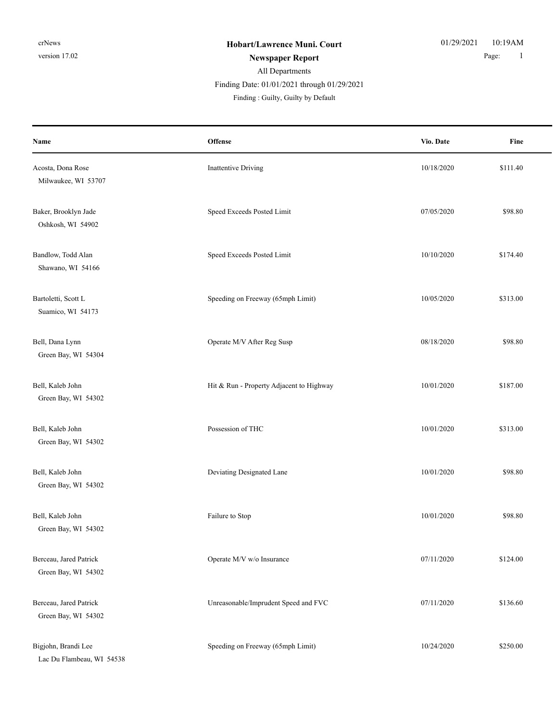Finding Date: 01/01/2021 through 01/29/2021

| Name                                             | Offense                                  | Vio. Date  | Fine     |
|--------------------------------------------------|------------------------------------------|------------|----------|
| Acosta, Dona Rose<br>Milwaukee, WI 53707         | <b>Inattentive Driving</b>               | 10/18/2020 | \$111.40 |
| Baker, Brooklyn Jade<br>Oshkosh, WI 54902        | Speed Exceeds Posted Limit               | 07/05/2020 | \$98.80  |
| Bandlow, Todd Alan<br>Shawano, WI 54166          | Speed Exceeds Posted Limit               | 10/10/2020 | \$174.40 |
| Bartoletti, Scott L<br>Suamico, WI 54173         | Speeding on Freeway (65mph Limit)        | 10/05/2020 | \$313.00 |
| Bell, Dana Lynn<br>Green Bay, WI 54304           | Operate M/V After Reg Susp               | 08/18/2020 | \$98.80  |
| Bell, Kaleb John<br>Green Bay, WI 54302          | Hit & Run - Property Adjacent to Highway | 10/01/2020 | \$187.00 |
| Bell, Kaleb John<br>Green Bay, WI 54302          | Possession of THC                        | 10/01/2020 | \$313.00 |
| Bell, Kaleb John<br>Green Bay, WI 54302          | Deviating Designated Lane                | 10/01/2020 | \$98.80  |
| Bell, Kaleb John<br>Green Bay, WI 54302          | Failure to Stop                          | 10/01/2020 | \$98.80  |
| Berceau, Jared Patrick<br>Green Bay, WI 54302    | Operate M/V w/o Insurance                | 07/11/2020 | \$124.00 |
| Berceau, Jared Patrick<br>Green Bay, WI 54302    | Unreasonable/Imprudent Speed and FVC     | 07/11/2020 | \$136.60 |
| Bigjohn, Brandi Lee<br>Lac Du Flambeau, WI 54538 | Speeding on Freeway (65mph Limit)        | 10/24/2020 | \$250.00 |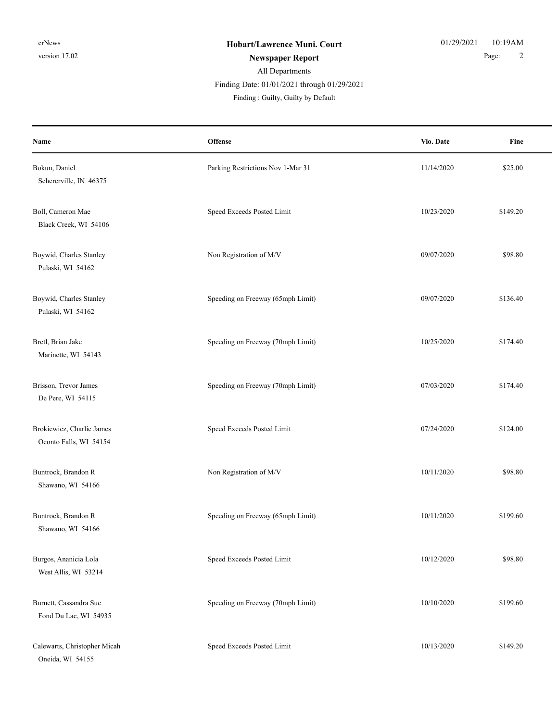| Name                                                | Offense                           | Vio. Date  | Fine     |
|-----------------------------------------------------|-----------------------------------|------------|----------|
| Bokun, Daniel<br>Schererville, IN 46375             | Parking Restrictions Nov 1-Mar 31 | 11/14/2020 | \$25.00  |
| Boll, Cameron Mae<br>Black Creek, WI 54106          | Speed Exceeds Posted Limit        | 10/23/2020 | \$149.20 |
| Boywid, Charles Stanley<br>Pulaski, WI 54162        | Non Registration of M/V           | 09/07/2020 | \$98.80  |
| Boywid, Charles Stanley<br>Pulaski, WI 54162        | Speeding on Freeway (65mph Limit) | 09/07/2020 | \$136.40 |
| Bretl, Brian Jake<br>Marinette, WI 54143            | Speeding on Freeway (70mph Limit) | 10/25/2020 | \$174.40 |
| Brisson, Trevor James<br>De Pere, WI 54115          | Speeding on Freeway (70mph Limit) | 07/03/2020 | \$174.40 |
| Brokiewicz, Charlie James<br>Oconto Falls, WI 54154 | Speed Exceeds Posted Limit        | 07/24/2020 | \$124.00 |
| Buntrock, Brandon R<br>Shawano, WI 54166            | Non Registration of M/V           | 10/11/2020 | \$98.80  |
| Buntrock, Brandon R<br>Shawano, WI 54166            | Speeding on Freeway (65mph Limit) | 10/11/2020 | \$199.60 |
| Burgos, Ananicia Lola<br>West Allis, WI 53214       | Speed Exceeds Posted Limit        | 10/12/2020 | \$98.80  |
| Burnett, Cassandra Sue<br>Fond Du Lac, WI 54935     | Speeding on Freeway (70mph Limit) | 10/10/2020 | \$199.60 |
| Calewarts, Christopher Micah<br>Oneida, WI 54155    | Speed Exceeds Posted Limit        | 10/13/2020 | \$149.20 |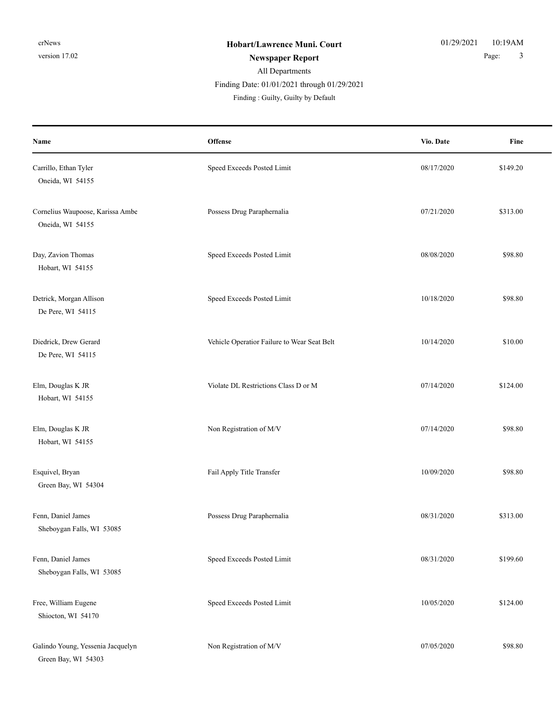#### All Departments **Newspaper Report** 2 and 2 and 2 and 2 and 2 and 2 and 2 and 2 and 2 and 2 and 2 and 2 and 2 and 2 and 2 and 3 and 3 and 3 and 3 and 3 and 3 and 3 and 3 and 3 and 3 and 3 and 3 and 3 and 3 and 3 and 3 and 3 and 3 and 3 and Finding : Guilty, Guilty by Default Finding Date: 01/01/2021 through 01/29/2021

**Offense** Fine **Name Vio. Date** Carrillo, Ethan Tyler Speed Exceeds Posted Limit 68/17/2020 8149.20 Oneida, WI 54155 Cornelius Waupoose, Karissa Ambe **Possess Drug Paraphernalia** 07/21/2020 6313.00 Oneida, WI 54155 Day, Zavion Thomas Speed Exceeds Posted Limit 08/08/2020 \$98.80 Hobart, WI 54155 Detrick, Morgan Allison \$98.80 De Pere, WI 54115 Diedrick, Drew Gerard Vehicle Operatior Failure to Wear Seat Belt 10/14/2020 \$10.00 De Pere, WI 54115 Elm, Douglas K JR State DL Restrictions Class D or M 07/14/2020 \$124.00 Hobart, WI 54155 Elm, Douglas K JR Non Registration of M/V 07/14/2020 \$98.80 Hobart, WI 54155 Esquivel, Bryan S98.80 **Fail Apply Title Transfer** 10/09/2020 \$98.80 Green Bay, WI 54304 Fenn, Daniel James Possess Drug Paraphernalia 08/31/2020 \$313.00 Sheboygan Falls, WI 53085 Fenn, Daniel James Speed Exceeds Posted Limit 08/31/2020 \$199.60 Sheboygan Falls, WI 53085 Free, William Eugene Speed Exceeds Posted Limit 10/05/2020 \$124.00 Shiocton, WI 54170

Galindo Young, Yessenia Jacquelyn Non Registration of M/V 07/05/2020 \$98.80 Green Bay, WI 54303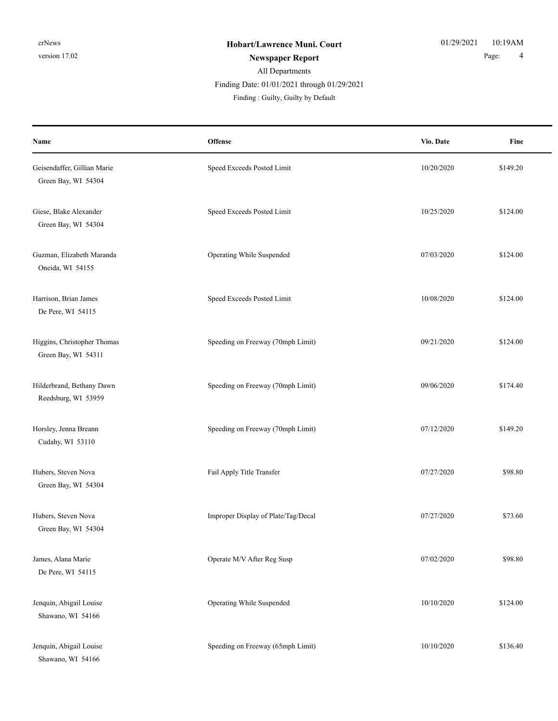Finding : Guilty, Guilty by Default Finding Date: 01/01/2021 through 01/29/2021

| Name                                               | Offense                             | Vio. Date  | Fine     |
|----------------------------------------------------|-------------------------------------|------------|----------|
| Geisendaffer, Gillian Marie<br>Green Bay, WI 54304 | Speed Exceeds Posted Limit          | 10/20/2020 | \$149.20 |
| Giese, Blake Alexander<br>Green Bay, WI 54304      | Speed Exceeds Posted Limit          | 10/25/2020 | \$124.00 |
| Guzman, Elizabeth Maranda<br>Oneida, WI 54155      | Operating While Suspended           | 07/03/2020 | \$124.00 |
| Harrison, Brian James<br>De Pere, WI 54115         | Speed Exceeds Posted Limit          | 10/08/2020 | \$124.00 |
| Higgins, Christopher Thomas<br>Green Bay, WI 54311 | Speeding on Freeway (70mph Limit)   | 09/21/2020 | \$124.00 |
| Hilderbrand, Bethany Dawn<br>Reedsburg, WI 53959   | Speeding on Freeway (70mph Limit)   | 09/06/2020 | \$174.40 |
| Horsley, Jenna Breann<br>Cudahy, WI 53110          | Speeding on Freeway (70mph Limit)   | 07/12/2020 | \$149.20 |
| Hubers, Steven Nova<br>Green Bay, WI 54304         | Fail Apply Title Transfer           | 07/27/2020 | \$98.80  |
| Hubers, Steven Nova<br>Green Bay, WI 54304         | Improper Display of Plate/Tag/Decal | 07/27/2020 | \$73.60  |
| James, Alana Marie<br>De Pere, WI 54115            | Operate M/V After Reg Susp          | 07/02/2020 | \$98.80  |
| Jenquin, Abigail Louise<br>Shawano, WI 54166       | Operating While Suspended           | 10/10/2020 | \$124.00 |
| Jenquin, Abigail Louise<br>Shawano, WI 54166       | Speeding on Freeway (65mph Limit)   | 10/10/2020 | \$136.40 |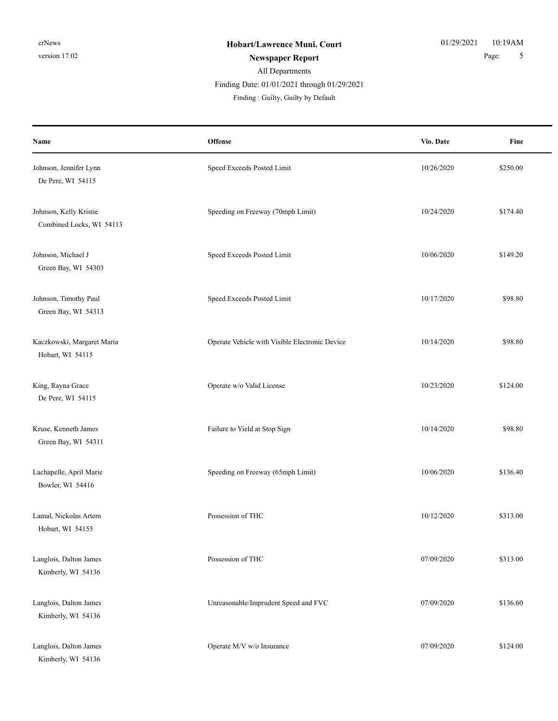Finding Date: 01/01/2021 through 01/29/2021

| Name                                               | <b>Offense</b>                                 | Vio. Date  | Fine     |
|----------------------------------------------------|------------------------------------------------|------------|----------|
| Johnson, Jennifer Lynn<br>De Pere, WI 54115        | Speed Exceeds Posted Limit                     | 10/26/2020 | \$250.00 |
| Johnson, Kelly Kristie<br>Combined Locks, WI 54113 | Speeding on Freeway (70mph Limit)              | 10/24/2020 | \$174.40 |
| Johnson, Michael J<br>Green Bay, WI 54303          | Speed Exceeds Posted Limit                     | 10/06/2020 | \$149.20 |
| Johnson, Timothy Paul<br>Green Bay, WI 54313       | Speed Exceeds Posted Limit                     | 10/17/2020 | \$98.80  |
| Kaczkowski, Margaret Maria<br>Hobart, WI 54115     | Operate Vehicle with Visible Electronic Device | 10/14/2020 | \$98.80  |
| King, Rayna Grace<br>De Pere, WI 54115             | Operate w/o Valid License                      | 10/23/2020 | \$124.00 |
| Kruse, Kenneth James<br>Green Bay, WI 54311        | Failure to Yield at Stop Sign                  | 10/14/2020 | \$98.80  |
| Lachapelle, April Marie<br>Bowler, WI 54416        | Speeding on Freeway (65mph Limit)              | 10/06/2020 | \$136.40 |
| Lamal, Nickolas Artem<br>Hobart, WI 54155          | Possession of THC                              | 10/12/2020 | \$313.00 |
| Langlois, Dalton James<br>Kimberly, WI 54136       | Possession of THC                              | 07/09/2020 | \$313.00 |
| Langlois, Dalton James<br>Kimberly, WI 54136       | Unreasonable/Imprudent Speed and FVC           | 07/09/2020 | \$136.60 |
| Langlois, Dalton James<br>Kimberly, WI 54136       | Operate M/V w/o Insurance                      | 07/09/2020 | \$124.00 |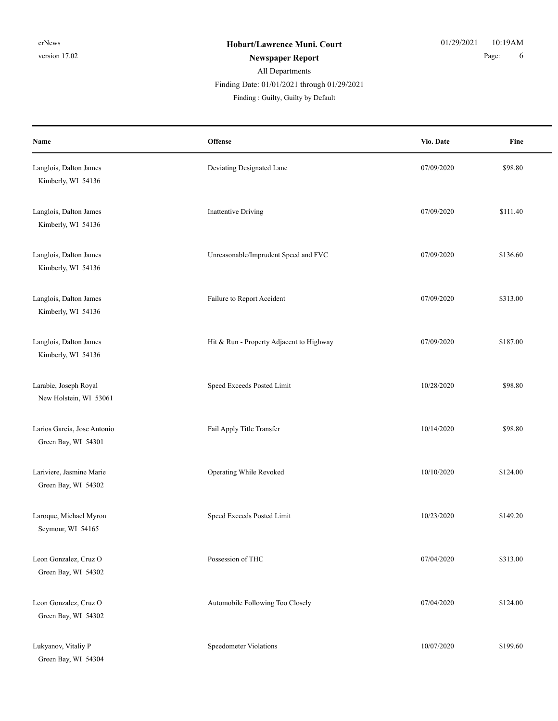| Name                                               | <b>Offense</b>                           | Vio. Date  | Fine     |
|----------------------------------------------------|------------------------------------------|------------|----------|
| Langlois, Dalton James<br>Kimberly, WI 54136       | Deviating Designated Lane                | 07/09/2020 | \$98.80  |
| Langlois, Dalton James<br>Kimberly, WI 54136       | Inattentive Driving                      | 07/09/2020 | \$111.40 |
| Langlois, Dalton James<br>Kimberly, WI 54136       | Unreasonable/Imprudent Speed and FVC     | 07/09/2020 | \$136.60 |
| Langlois, Dalton James<br>Kimberly, WI 54136       | Failure to Report Accident               | 07/09/2020 | \$313.00 |
| Langlois, Dalton James<br>Kimberly, WI 54136       | Hit & Run - Property Adjacent to Highway | 07/09/2020 | \$187.00 |
| Larabie, Joseph Royal<br>New Holstein, WI 53061    | Speed Exceeds Posted Limit               | 10/28/2020 | \$98.80  |
| Larios Garcia, Jose Antonio<br>Green Bay, WI 54301 | Fail Apply Title Transfer                | 10/14/2020 | \$98.80  |
| Lariviere, Jasmine Marie<br>Green Bay, WI 54302    | Operating While Revoked                  | 10/10/2020 | \$124.00 |
| Laroque, Michael Myron<br>Seymour, WI 54165        | Speed Exceeds Posted Limit               | 10/23/2020 | \$149.20 |
| Leon Gonzalez, Cruz O<br>Green Bay, WI 54302       | Possession of THC                        | 07/04/2020 | \$313.00 |
| Leon Gonzalez, Cruz O<br>Green Bay, WI 54302       | Automobile Following Too Closely         | 07/04/2020 | \$124.00 |
| Lukyanov, Vitaliy P<br>Green Bay, WI 54304         | Speedometer Violations                   | 10/07/2020 | \$199.60 |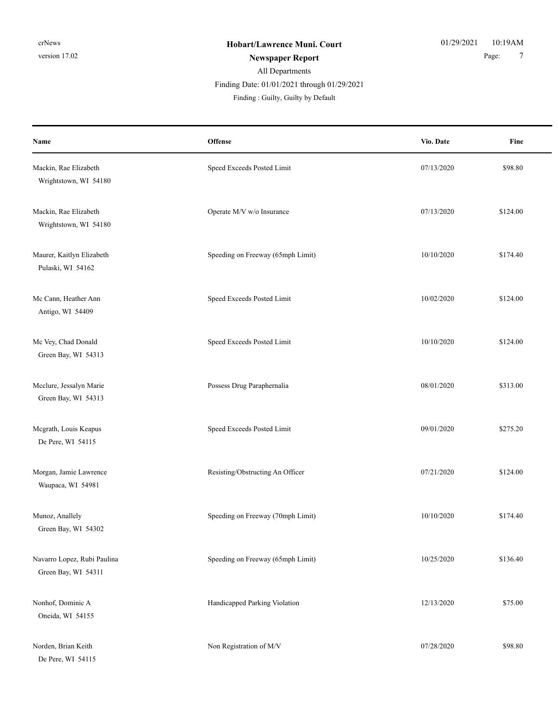Finding Date: 01/01/2021 through 01/29/2021

| Name                                               | Offense                           | Vio. Date  | Fine     |
|----------------------------------------------------|-----------------------------------|------------|----------|
| Mackin, Rae Elizabeth<br>Wrightstown, WI 54180     | Speed Exceeds Posted Limit        | 07/13/2020 | \$98.80  |
| Mackin, Rae Elizabeth<br>Wrightstown, WI 54180     | Operate M/V w/o Insurance         | 07/13/2020 | \$124.00 |
| Maurer, Kaitlyn Elizabeth<br>Pulaski, WI 54162     | Speeding on Freeway (65mph Limit) | 10/10/2020 | \$174.40 |
| Mc Cann, Heather Ann<br>Antigo, WI 54409           | Speed Exceeds Posted Limit        | 10/02/2020 | \$124.00 |
| Mc Vey, Chad Donald<br>Green Bay, WI 54313         | Speed Exceeds Posted Limit        | 10/10/2020 | \$124.00 |
| Mcclure, Jessalyn Marie<br>Green Bay, WI 54313     | Possess Drug Paraphernalia        | 08/01/2020 | \$313.00 |
| Mcgrath, Louis Keapus<br>De Pere, WI 54115         | Speed Exceeds Posted Limit        | 09/01/2020 | \$275.20 |
| Morgan, Jamie Lawrence<br>Waupaca, WI 54981        | Resisting/Obstructing An Officer  | 07/21/2020 | \$124.00 |
| Munoz, Anallely<br>Green Bay, WI 54302             | Speeding on Freeway (70mph Limit) | 10/10/2020 | \$174.40 |
| Navarro Lopez, Rubi Paulina<br>Green Bay, WI 54311 | Speeding on Freeway (65mph Limit) | 10/25/2020 | \$136.40 |
| Nonhof, Dominic A<br>Oneida, WI 54155              | Handicapped Parking Violation     | 12/13/2020 | \$75.00  |
| Norden, Brian Keith<br>De Pere, WI 54115           | Non Registration of M/V           | 07/28/2020 | \$98.80  |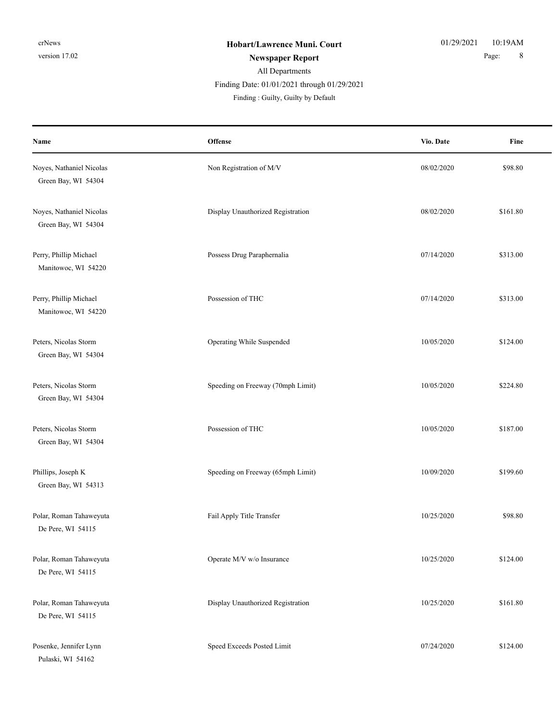| Name                                            | Offense                           | Vio. Date  | Fine     |
|-------------------------------------------------|-----------------------------------|------------|----------|
| Noyes, Nathaniel Nicolas<br>Green Bay, WI 54304 | Non Registration of M/V           | 08/02/2020 | \$98.80  |
| Noyes, Nathaniel Nicolas<br>Green Bay, WI 54304 | Display Unauthorized Registration | 08/02/2020 | \$161.80 |
| Perry, Phillip Michael<br>Manitowoc, WI 54220   | Possess Drug Paraphernalia        | 07/14/2020 | \$313.00 |
| Perry, Phillip Michael<br>Manitowoc, WI 54220   | Possession of THC                 | 07/14/2020 | \$313.00 |
| Peters, Nicolas Storm<br>Green Bay, WI 54304    | Operating While Suspended         | 10/05/2020 | \$124.00 |
| Peters, Nicolas Storm<br>Green Bay, WI 54304    | Speeding on Freeway (70mph Limit) | 10/05/2020 | \$224.80 |
| Peters, Nicolas Storm<br>Green Bay, WI 54304    | Possession of THC                 | 10/05/2020 | \$187.00 |
| Phillips, Joseph K<br>Green Bay, WI 54313       | Speeding on Freeway (65mph Limit) | 10/09/2020 | \$199.60 |
| Polar, Roman Tahaweyuta<br>De Pere, WI 54115    | Fail Apply Title Transfer         | 10/25/2020 | \$98.80  |
| Polar, Roman Tahaweyuta<br>De Pere, WI 54115    | Operate M/V w/o Insurance         | 10/25/2020 | \$124.00 |
| Polar, Roman Tahaweyuta<br>De Pere, WI 54115    | Display Unauthorized Registration | 10/25/2020 | \$161.80 |
| Posenke, Jennifer Lynn<br>Pulaski, WI 54162     | Speed Exceeds Posted Limit        | 07/24/2020 | \$124.00 |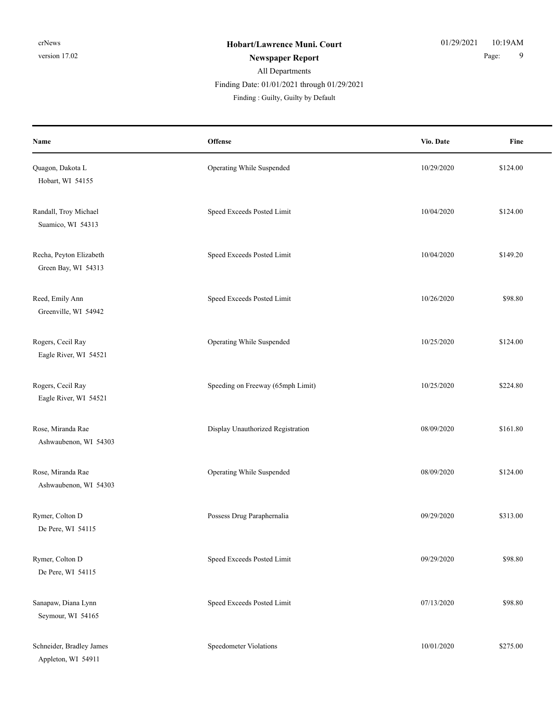Finding Date: 01/01/2021 through 01/29/2021

| Name                                           | Offense                           | Vio. Date  | Fine     |
|------------------------------------------------|-----------------------------------|------------|----------|
| Quagon, Dakota L<br>Hobart, WI 54155           | Operating While Suspended         | 10/29/2020 | \$124.00 |
| Randall, Troy Michael<br>Suamico, WI 54313     | Speed Exceeds Posted Limit        | 10/04/2020 | \$124.00 |
| Recha, Peyton Elizabeth<br>Green Bay, WI 54313 | Speed Exceeds Posted Limit        | 10/04/2020 | \$149.20 |
| Reed, Emily Ann<br>Greenville, WI 54942        | Speed Exceeds Posted Limit        | 10/26/2020 | \$98.80  |
| Rogers, Cecil Ray<br>Eagle River, WI 54521     | Operating While Suspended         | 10/25/2020 | \$124.00 |
| Rogers, Cecil Ray<br>Eagle River, WI 54521     | Speeding on Freeway (65mph Limit) | 10/25/2020 | \$224.80 |
| Rose, Miranda Rae<br>Ashwaubenon, WI 54303     | Display Unauthorized Registration | 08/09/2020 | \$161.80 |
| Rose, Miranda Rae<br>Ashwaubenon, WI 54303     | Operating While Suspended         | 08/09/2020 | \$124.00 |
| Rymer, Colton D<br>De Pere, WI 54115           | Possess Drug Paraphernalia        | 09/29/2020 | \$313.00 |
| Rymer, Colton D<br>De Pere, WI 54115           | Speed Exceeds Posted Limit        | 09/29/2020 | \$98.80  |
| Sanapaw, Diana Lynn<br>Seymour, WI 54165       | Speed Exceeds Posted Limit        | 07/13/2020 | \$98.80  |
| Schneider, Bradley James<br>Appleton, WI 54911 | Speedometer Violations            | 10/01/2020 | \$275.00 |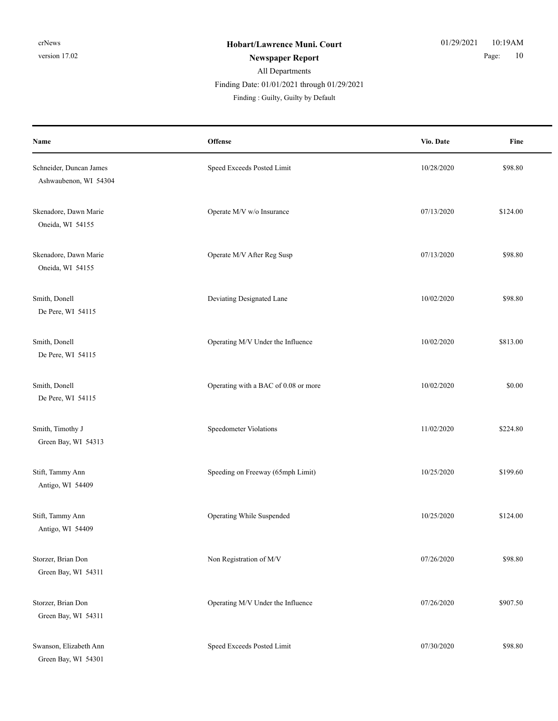| Name                                             | Offense                              | Vio. Date  | Fine     |
|--------------------------------------------------|--------------------------------------|------------|----------|
| Schneider, Duncan James<br>Ashwaubenon, WI 54304 | Speed Exceeds Posted Limit           | 10/28/2020 | \$98.80  |
| Skenadore, Dawn Marie<br>Oneida, WI 54155        | Operate M/V w/o Insurance            | 07/13/2020 | \$124.00 |
| Skenadore, Dawn Marie<br>Oneida, WI 54155        | Operate M/V After Reg Susp           | 07/13/2020 | \$98.80  |
| Smith, Donell<br>De Pere, WI 54115               | Deviating Designated Lane            | 10/02/2020 | \$98.80  |
| Smith, Donell<br>De Pere, WI 54115               | Operating M/V Under the Influence    | 10/02/2020 | \$813.00 |
| Smith, Donell<br>De Pere, WI 54115               | Operating with a BAC of 0.08 or more | 10/02/2020 | \$0.00   |
| Smith, Timothy J<br>Green Bay, WI 54313          | Speedometer Violations               | 11/02/2020 | \$224.80 |
| Stift, Tammy Ann<br>Antigo, WI 54409             | Speeding on Freeway (65mph Limit)    | 10/25/2020 | \$199.60 |
| Stift, Tammy Ann<br>Antigo, WI 54409             | Operating While Suspended            | 10/25/2020 | \$124.00 |
| Storzer, Brian Don<br>Green Bay, WI 54311        | Non Registration of M/V              | 07/26/2020 | \$98.80  |
| Storzer, Brian Don<br>Green Bay, WI 54311        | Operating M/V Under the Influence    | 07/26/2020 | \$907.50 |
| Swanson, Elizabeth Ann<br>Green Bay, WI 54301    | Speed Exceeds Posted Limit           | 07/30/2020 | \$98.80  |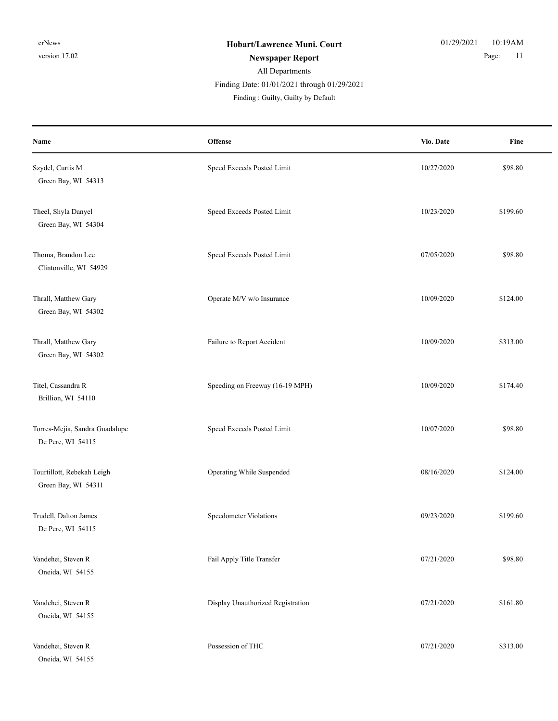#### All Departments **Newspaper Report** 2008 2009 2011 Finding : Guilty, Guilty by Default Finding Date: 01/01/2021 through 01/29/2021

| Name                                                | Offense                           | Vio. Date  | Fine     |
|-----------------------------------------------------|-----------------------------------|------------|----------|
| Szydel, Curtis M<br>Green Bay, WI 54313             | Speed Exceeds Posted Limit        | 10/27/2020 | \$98.80  |
| Theel, Shyla Danyel<br>Green Bay, WI 54304          | Speed Exceeds Posted Limit        | 10/23/2020 | \$199.60 |
| Thoma, Brandon Lee<br>Clintonville, WI 54929        | Speed Exceeds Posted Limit        | 07/05/2020 | \$98.80  |
| Thrall, Matthew Gary<br>Green Bay, WI 54302         | Operate M/V w/o Insurance         | 10/09/2020 | \$124.00 |
| Thrall, Matthew Gary<br>Green Bay, WI 54302         | Failure to Report Accident        | 10/09/2020 | \$313.00 |
| Titel, Cassandra R<br>Brillion, WI 54110            | Speeding on Freeway (16-19 MPH)   | 10/09/2020 | \$174.40 |
| Torres-Mejia, Sandra Guadalupe<br>De Pere, WI 54115 | Speed Exceeds Posted Limit        | 10/07/2020 | \$98.80  |
| Tourtillott, Rebekah Leigh<br>Green Bay, WI 54311   | Operating While Suspended         | 08/16/2020 | \$124.00 |
| Trudell, Dalton James<br>De Pere, WI 54115          | Speedometer Violations            | 09/23/2020 | \$199.60 |
| Vandehei, Steven R<br>Oneida, WI 54155              | Fail Apply Title Transfer         | 07/21/2020 | \$98.80  |
| Vandehei, Steven R<br>Oneida, WI 54155              | Display Unauthorized Registration | 07/21/2020 | \$161.80 |
| Vandehei, Steven R<br>Oneida, WI 54155              | Possession of THC                 | 07/21/2020 | \$313.00 |